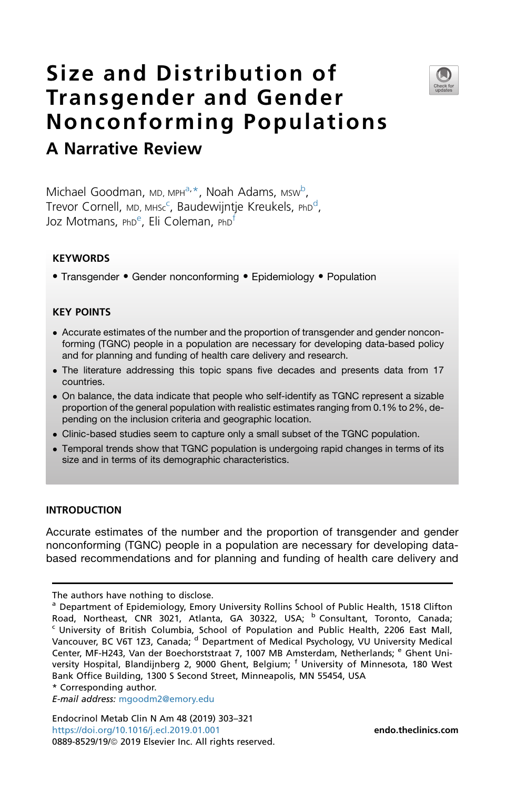

# Size and Distribution of Transgender and Gender Nonconforming Populations A Narrative Review

Michael Goodman, Mp. MPH<sup>a,\*</sup>, Noah Adams, MSW<sup>b</sup>, Trevor Cornell, MD, MHSc<sup>c</sup>, Baudewiintie Kreukels, PhD<sup>d</sup>, Joz Motmans, PhD<sup>e</sup>, Eli Coleman, PhD<sup>f</sup>

#### **KEYWORDS**

• Transgender • Gender nonconforming • Epidemiology • Population

#### KEY POINTS

- Accurate estimates of the number and the proportion of transgender and gender nonconforming (TGNC) people in a population are necessary for developing data-based policy and for planning and funding of health care delivery and research.
- The literature addressing this topic spans five decades and presents data from 17 countries.
- On balance, the data indicate that people who self-identify as TGNC represent a sizable proportion of the general population with realistic estimates ranging from 0.1% to 2%, depending on the inclusion criteria and geographic location.
- Clinic-based studies seem to capture only a small subset of the TGNC population.
- Temporal trends show that TGNC population is undergoing rapid changes in terms of its size and in terms of its demographic characteristics.

#### INTRODUCTION

Accurate estimates of the number and the proportion of transgender and gender nonconforming (TGNC) people in a population are necessary for developing databased recommendations and for planning and funding of health care delivery and

The authors have nothing to disclose.

<sup>&</sup>lt;sup>a</sup> Department of Epidemiology, Emory University Rollins School of Public Health, 1518 Clifton Road, Northeast, CNR 3021, Atlanta, GA 30322, USA; <sup>b</sup> Consultant, Toronto, Canada; <sup>c</sup> University of British Columbia, School of Population and Public Health, 2206 East Mall, Vancouver, BC V6T 1Z3, Canada; <sup>d</sup> Department of Medical Psychology, VU University Medical Center, MF-H243, Van der Boechorststraat 7, 1007 MB Amsterdam, Netherlands; <sup>e</sup> Ghent University Hospital, Blandijnberg 2, 9000 Ghent, Belgium; <sup>f</sup> University of Minnesota, 180 West Bank Office Building, 1300 S Second Street, Minneapolis, MN 55454, USA

<sup>\*</sup> Corresponding author.

E-mail address: [mgoodm2@emory.edu](mailto:mgoodm2@emory.edu)

Endocrinol Metab Clin N Am 48 (2019) 303–321 <https://doi.org/10.1016/j.ecl.2019.01.001> [endo.theclinics.com](http://endo.theclinics.com) 0889-8529/19/@ 2019 Elsevier Inc. All rights reserved.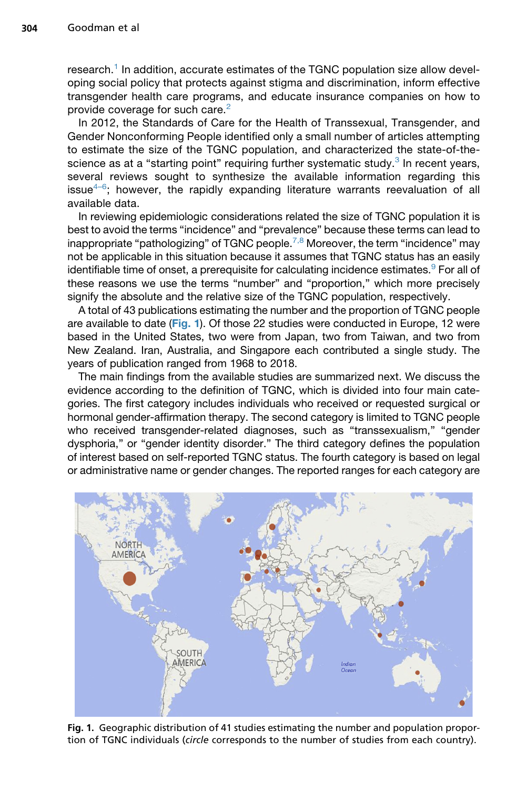research.<sup>[1](#page-15-0)</sup> In addition, accurate estimates of the TGNC population size allow developing social policy that protects against stigma and discrimination, inform effective transgender health care programs, and educate insurance companies on how to provide coverage for such care.<sup>[2](#page-15-0)</sup>

In 2012, the Standards of Care for the Health of Transsexual, Transgender, and Gender Nonconforming People identified only a small number of articles attempting to estimate the size of the TGNC population, and characterized the state-of-the-science as at a "starting point" requiring further systematic study.<sup>[3](#page-15-0)</sup> In recent years, several reviews sought to synthesize the available information regarding this issue $4-6$ ; however, the rapidly expanding literature warrants reevaluation of all available data.

In reviewing epidemiologic considerations related the size of TGNC population it is best to avoid the terms "incidence" and "prevalence" because these terms can lead to inappropriate "pathologizing" of TGNC people.<sup>7,8</sup> Moreover, the term "incidence" may not be applicable in this situation because it assumes that TGNC status has an easily identifiable time of onset, a prerequisite for calculating incidence estimates.<sup>[9](#page-16-0)</sup> For all of these reasons we use the terms "number" and "proportion," which more precisely signify the absolute and the relative size of the TGNC population, respectively.

A total of 43 publications estimating the number and the proportion of TGNC people are available to date (Fig. 1). Of those 22 studies were conducted in Europe, 12 were based in the United States, two were from Japan, two from Taiwan, and two from New Zealand. Iran, Australia, and Singapore each contributed a single study. The years of publication ranged from 1968 to 2018.

The main findings from the available studies are summarized next. We discuss the evidence according to the definition of TGNC, which is divided into four main categories. The first category includes individuals who received or requested surgical or hormonal gender-affirmation therapy. The second category is limited to TGNC people who received transgender-related diagnoses, such as "transsexualism," "gender dysphoria," or "gender identity disorder." The third category defines the population of interest based on self-reported TGNC status. The fourth category is based on legal or administrative name or gender changes. The reported ranges for each category are



Fig. 1. Geographic distribution of 41 studies estimating the number and population proportion of TGNC individuals (circle corresponds to the number of studies from each country).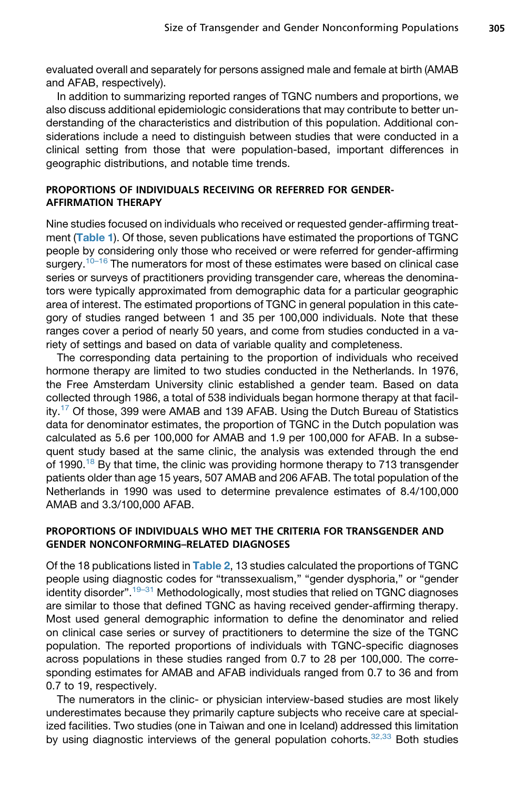evaluated overall and separately for persons assigned male and female at birth (AMAB and AFAB, respectively).

In addition to summarizing reported ranges of TGNC numbers and proportions, we also discuss additional epidemiologic considerations that may contribute to better understanding of the characteristics and distribution of this population. Additional considerations include a need to distinguish between studies that were conducted in a clinical setting from those that were population-based, important differences in geographic distributions, and notable time trends.

#### PROPORTIONS OF INDIVIDUALS RECEIVING OR REFERRED FOR GENDER-AFFIRMATION THERAPY

Nine studies focused on individuals who received or requested gender-affirming treat-ment ([Table 1](#page-3-0)). Of those, seven publications have estimated the proportions of TGNC people by considering only those who received or were referred for gender-affirming surgery.<sup>10–16</sup> The numerators for most of these estimates were based on clinical case series or surveys of practitioners providing transgender care, whereas the denominators were typically approximated from demographic data for a particular geographic area of interest. The estimated proportions of TGNC in general population in this category of studies ranged between 1 and 35 per 100,000 individuals. Note that these ranges cover a period of nearly 50 years, and come from studies conducted in a variety of settings and based on data of variable quality and completeness.

The corresponding data pertaining to the proportion of individuals who received hormone therapy are limited to two studies conducted in the Netherlands. In 1976, the Free Amsterdam University clinic established a gender team. Based on data collected through 1986, a total of 538 individuals began hormone therapy at that facil-ity.<sup>[17](#page-16-0)</sup> Of those, 399 were AMAB and 139 AFAB. Using the Dutch Bureau of Statistics data for denominator estimates, the proportion of TGNC in the Dutch population was calculated as 5.6 per 100,000 for AMAB and 1.9 per 100,000 for AFAB. In a subsequent study based at the same clinic, the analysis was extended through the end of 1990.<sup>18</sup> By that time, the clinic was providing hormone therapy to 713 transgender patients older than age 15 years, 507 AMAB and 206 AFAB. The total population of the Netherlands in 1990 was used to determine prevalence estimates of 8.4/100,000 AMAB and 3.3/100,000 AFAB.

#### PROPORTIONS OF INDIVIDUALS WHO MET THE CRITERIA FOR TRANSGENDER AND GENDER NONCONFORMING–RELATED DIAGNOSES

Of the 18 publications listed in [Table 2](#page-5-0), 13 studies calculated the proportions of TGNC people using diagnostic codes for "transsexualism," "gender dysphoria," or "gender identity disorder".<sup>[19–31](#page-16-0)</sup> Methodologically, most studies that relied on TGNC diagnoses are similar to those that defined TGNC as having received gender-affirming therapy. Most used general demographic information to define the denominator and relied on clinical case series or survey of practitioners to determine the size of the TGNC population. The reported proportions of individuals with TGNC-specific diagnoses across populations in these studies ranged from 0.7 to 28 per 100,000. The corresponding estimates for AMAB and AFAB individuals ranged from 0.7 to 36 and from 0.7 to 19, respectively.

The numerators in the clinic- or physician interview-based studies are most likely underestimates because they primarily capture subjects who receive care at specialized facilities. Two studies (one in Taiwan and one in Iceland) addressed this limitation by using diagnostic interviews of the general population cohorts. $32,33$  Both studies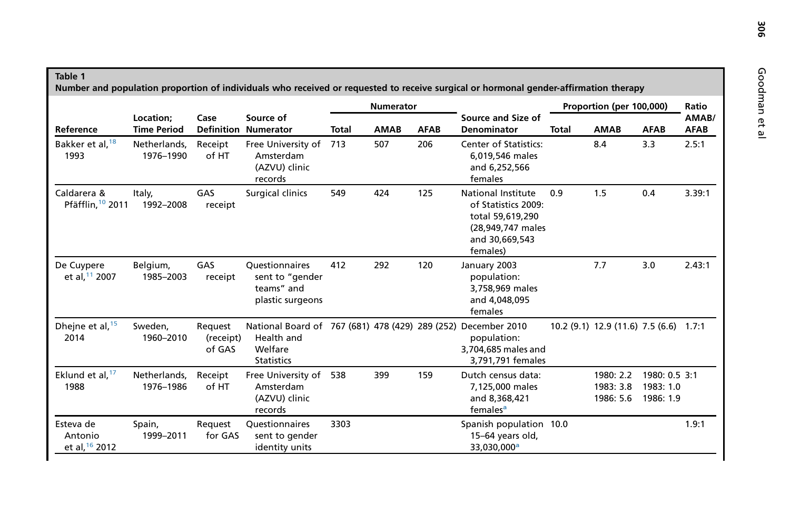<span id="page-3-0"></span>

| Table 1                                           |                                 |                                |                                                                                                             |              |             |             | Number and population proportion of individuals who received or requested to receive surgical or hormonal gender-affirmation therapy |                          |                                        |                                         |                      |
|---------------------------------------------------|---------------------------------|--------------------------------|-------------------------------------------------------------------------------------------------------------|--------------|-------------|-------------|--------------------------------------------------------------------------------------------------------------------------------------|--------------------------|----------------------------------------|-----------------------------------------|----------------------|
|                                                   |                                 |                                | Source of<br><b>Definition Numerator</b>                                                                    |              | Numerator   |             |                                                                                                                                      | Proportion (per 100,000) | Ratio                                  |                                         |                      |
| Reference                                         | Location:<br><b>Time Period</b> | Case                           |                                                                                                             | <b>Total</b> | <b>AMAB</b> | <b>AFAB</b> | Source and Size of<br>Denominator                                                                                                    | <b>Total</b>             | <b>AMAB</b>                            | <b>AFAB</b>                             | AMAB/<br><b>AFAB</b> |
| Bakker et al, 18<br>1993                          | Netherlands,<br>1976-1990       | Receipt<br>of HT               | Free University of<br>Amsterdam<br>(AZVU) clinic<br>records                                                 | 713          | 507         | 206         | <b>Center of Statistics:</b><br>6,019,546 males<br>and 6,252,566<br>females                                                          |                          | 8.4                                    | 3.3                                     | 2.5:1                |
| Caldarera &<br>Pfäfflin. <sup>10</sup> 2011       | Italy,<br>1992-2008             | GAS<br>receipt                 | Surgical clinics                                                                                            | 549          | 424         | 125         | <b>National Institute</b><br>of Statistics 2009:<br>total 59,619,290<br>(28,949,747 males<br>and 30,669,543<br>females)              | 0.9                      | 1.5                                    | 0.4                                     | 3.39:1               |
| De Cuypere<br>et al, 11 2007                      | Belgium,<br>1985-2003           | GAS<br>receipt                 | Questionnaires<br>sent to "gender<br>teams" and<br>plastic surgeons                                         | 412          | 292         | 120         | January 2003<br>population:<br>3,758,969 males<br>and 4,048,095<br>females                                                           |                          | 7.7                                    | 3.0                                     | 2.43:1               |
| Dhejne et al, <sup>15</sup><br>2014               | Sweden,<br>1960-2010            | Request<br>(receipt)<br>of GAS | National Board of 767 (681) 478 (429) 289 (252) December 2010<br>Health and<br>Welfare<br><b>Statistics</b> |              |             |             | population:<br>3,704,685 males and<br>3,791,791 females                                                                              |                          | 10.2 (9.1) 12.9 (11.6) 7.5 (6.6) 1.7:1 |                                         |                      |
| Eklund et al, 17<br>1988                          | Netherlands,<br>1976-1986       | Receipt<br>of HT               | Free University of<br>Amsterdam<br>(AZVU) clinic<br>records                                                 | 538          | 399         | 159         | Dutch census data:<br>7,125,000 males<br>and 8,368,421<br>females <sup>a</sup>                                                       |                          | 1980: 2.2<br>1983: 3.8<br>1986: 5.6    | 1980: 0.5 3:1<br>1983: 1.0<br>1986: 1.9 |                      |
| Esteva de<br>Antonio<br>et al, <sup>16</sup> 2012 | Spain,<br>1999-2011             | Request<br>for GAS             | Questionnaires<br>sent to gender<br>identity units                                                          | 3303         |             |             | Spanish population 10.0<br>15-64 years old,<br>33,030,000 <sup>a</sup>                                                               |                          |                                        |                                         | 1.9:1                |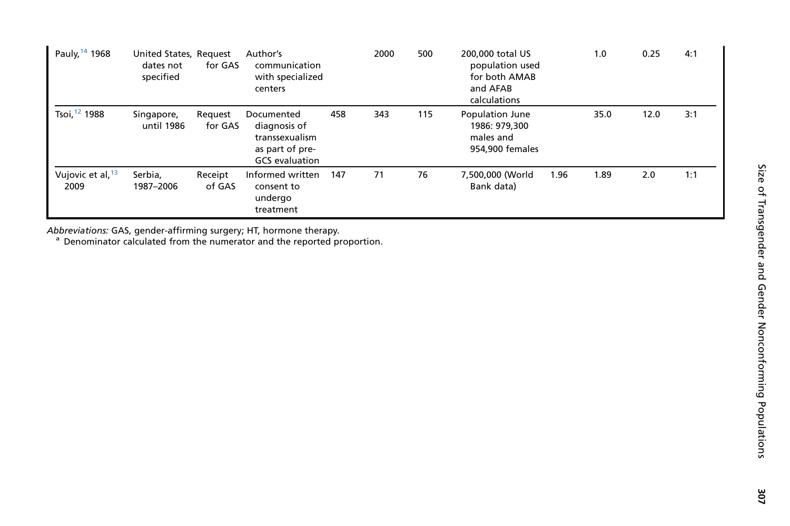<span id="page-4-0"></span>

| Pauly, <sup>14</sup> 1968            | United States, Request<br>dates not<br>specified | for GAS            | Author's<br>communication<br>with specialized<br>centers                                 |     | 2000 | 500 | 200,000 total US<br>population used<br>for both AMAB<br>and AFAB<br>calculations |      | 1.0  | 0.25 | 4:1 |
|--------------------------------------|--------------------------------------------------|--------------------|------------------------------------------------------------------------------------------|-----|------|-----|----------------------------------------------------------------------------------|------|------|------|-----|
| Tsoi, <sup>12</sup> 1988             | Singapore,<br>until 1986                         | Request<br>for GAS | Documented<br>diagnosis of<br>transsexualism<br>as part of pre-<br><b>GCS</b> evaluation | 458 | 343  | 115 | Population June<br>1986: 979,300<br>males and<br>954,900 females                 |      | 35.0 | 12.0 | 3:1 |
| Vujovic et al, <sup>13</sup><br>2009 | Serbia.<br>1987-2006                             | Receipt<br>of GAS  | Informed written<br>consent to<br>undergo<br>treatment                                   | 147 | 71   | 76  | 7,500,000 (World<br>Bank data)                                                   | 1.96 | 1.89 | 2.0  | 1:1 |

Abbreviations: GAS, gender-affirming surgery; HT, hormone therapy.<br><sup>a</sup> Denominator calculated from the numerator and the reported proportion.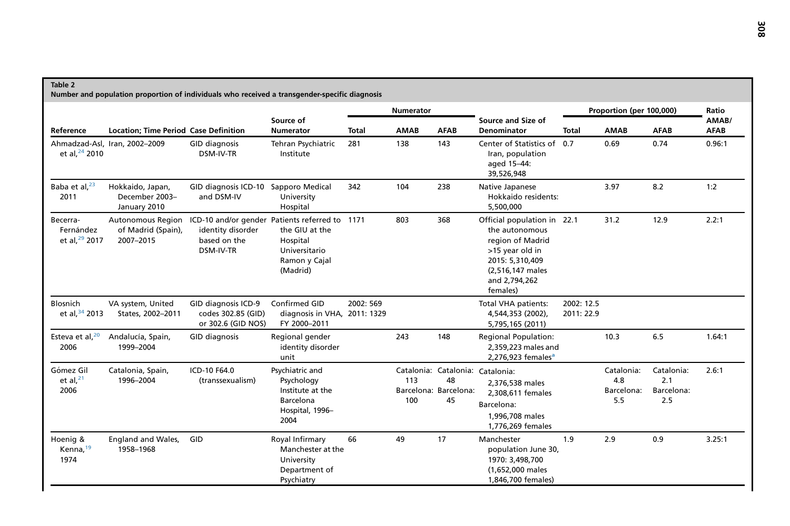<span id="page-5-0"></span>

|                                                    |                                                             |                                                                                                  |                                                                                                                                                                                  | <b>Numerator</b> |                                                                                            |                                                                                                                                                          |                                                                                                | Proportion (per 100,000)               | Ratio       |             |                      |  |
|----------------------------------------------------|-------------------------------------------------------------|--------------------------------------------------------------------------------------------------|----------------------------------------------------------------------------------------------------------------------------------------------------------------------------------|------------------|--------------------------------------------------------------------------------------------|----------------------------------------------------------------------------------------------------------------------------------------------------------|------------------------------------------------------------------------------------------------|----------------------------------------|-------------|-------------|----------------------|--|
| Reference                                          | <b>Location: Time Period Case Definition</b>                |                                                                                                  | Source of<br><b>Numerator</b>                                                                                                                                                    | <b>Total</b>     | <b>AMAB</b>                                                                                | <b>AFAB</b>                                                                                                                                              | Source and Size of<br><b>Denominator</b>                                                       | <b>Total</b>                           | <b>AMAB</b> | <b>AFAB</b> | AMAB/<br><b>AFAB</b> |  |
| et al, <sup>24</sup> 2010                          | Ahmadzad-Asl, Iran, 2002-2009                               | <b>GID diagnosis</b><br>DSM-IV-TR                                                                | Tehran Psychiatric<br>Institute                                                                                                                                                  | 281              | 138                                                                                        | 143                                                                                                                                                      | Center of Statistics of 0.7<br>Iran, population<br>aged 15-44:<br>39,526,948                   |                                        | 0.69        | 0.74        | 0.96:1               |  |
| Baba et al, <sup>23</sup><br>2011                  | Hokkaido, Japan,<br>December 2003-<br>January 2010          | GID diagnosis ICD-10<br>and DSM-IV                                                               | Sapporo Medical<br>University<br>Hospital                                                                                                                                        | 342              | 104                                                                                        | 238                                                                                                                                                      | Native Japanese<br>Hokkaido residents:<br>5.500.000                                            |                                        | 3.97        | 8.2         | 1:2                  |  |
| Becerra-<br>Fernández<br>et al, <sup>29</sup> 2017 | <b>Autonomous Region</b><br>of Madrid (Spain),<br>2007-2015 | ICD-10 and/or gender Patients referred to 1171<br>identity disorder<br>based on the<br>DSM-IV-TR | the GIU at the<br>Hospital<br>Universitario<br>Ramon y Cajal<br>(Madrid)                                                                                                         | 368<br>803       |                                                                                            | Official population in 22.1<br>the autonomous<br>region of Madrid<br>>15 year old in<br>2015: 5,310,409<br>(2,516,147 males<br>and 2,794,262<br>females) |                                                                                                | 31.2                                   | 12.9        | 2.2:1       |                      |  |
| Blosnich<br>et al, 34 2013                         | VA system, United<br>States, 2002-2011                      | GID diagnosis ICD-9<br>codes 302.85 (GID)<br>or 302.6 (GID NOS)                                  | Confirmed GID<br>diagnosis in VHA, 2011: 1329<br>FY 2000-2011                                                                                                                    | 2002: 569        |                                                                                            |                                                                                                                                                          | Total VHA patients:<br>4,544,353 (2002),<br>5,795,165 (2011)                                   | 2002: 12.5<br>2011: 22.9               |             |             |                      |  |
| Esteva et al, $20$<br>2006                         | Andalucía, Spain,<br>1999-2004                              | <b>GID diagnosis</b>                                                                             | Regional gender<br>identity disorder<br>unit                                                                                                                                     |                  | 243                                                                                        | 148                                                                                                                                                      | Regional Population:<br>2,359,223 males and<br>2,276,923 females <sup>a</sup>                  |                                        | 10.3        | 6.5         | 1.64:1               |  |
| Gómez Gil<br>et al, $^{21}$<br>2006                | Catalonia, Spain,<br>1996-2004                              | ICD-10 F64.0<br>(transsexualism)                                                                 | Psychiatric and<br>Catalonia: Catalonia: Catalonia:<br>113<br>48<br>Psychology<br>Institute at the<br>Barcelona: Barcelona:<br>Barcelona<br>100<br>45<br>Hospital, 1996-<br>2004 |                  | 2,376,538 males<br>2,308,611 females<br>Barcelona:<br>1,996,708 males<br>1,776,269 females |                                                                                                                                                          | Catalonia:<br>4.8<br>Barcelona:<br>5.5                                                         | Catalonia:<br>2.1<br>Barcelona:<br>2.5 | 2.6:1       |             |                      |  |
| Hoenig &<br>Kenna, <sup>19</sup><br>1974           | England and Wales,<br>1958-1968                             | GID                                                                                              | Royal Infirmary<br>Manchester at the<br>University<br>Department of<br>Psychiatry                                                                                                | 66               | 49                                                                                         | 17                                                                                                                                                       | Manchester<br>population June 30,<br>1970: 3,498,700<br>(1,652,000 males<br>1,846,700 females) | 1.9                                    | 2.9         | 0.9         | 3.25:1               |  |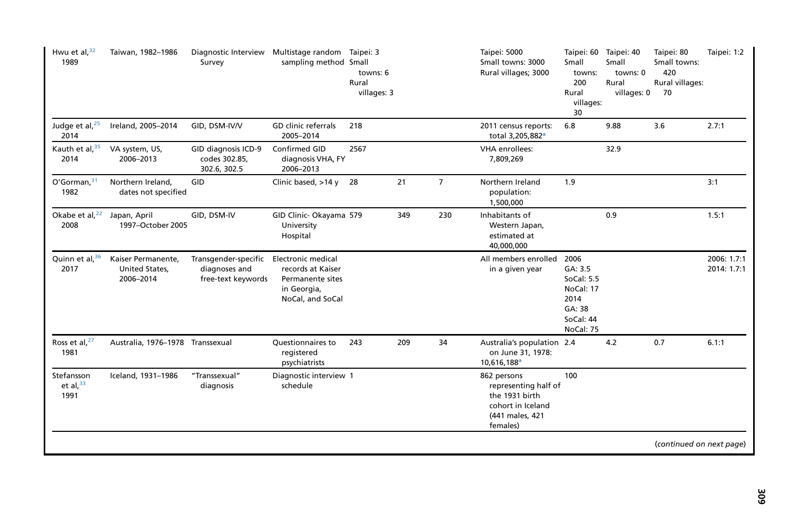| Hwu et al, $32$<br>1989            | Taiwan, 1982-1986                                 | Diagnostic Interview Multistage random Taipei: 3<br>Survey  | sampling method Small                                                                                 | towns: 6<br>Rural<br>villages: 3 |     |                | Taipei: 5000<br>Small towns: 3000<br>Rural villages; 3000                                                 | Taipei: 60<br>Small<br>towns:<br>200<br>Rural<br>villages:<br>30               | Taipei: 40<br>Small<br>towns: 0<br>Rural<br>villages: 0 | Taipei: 80<br>Small towns:<br>420<br>Rural villages:<br>70 | Taipei: 1:2                |
|------------------------------------|---------------------------------------------------|-------------------------------------------------------------|-------------------------------------------------------------------------------------------------------|----------------------------------|-----|----------------|-----------------------------------------------------------------------------------------------------------|--------------------------------------------------------------------------------|---------------------------------------------------------|------------------------------------------------------------|----------------------------|
| Judge et al, <sup>25</sup><br>2014 | Ireland, 2005-2014                                | GID, DSM-IV/V                                               | GD clinic referrals<br>2005-2014                                                                      | 218                              |     |                | 2011 census reports:<br>total 3,205,882 <sup>a</sup>                                                      | 6.8                                                                            | 9.88                                                    | 3.6                                                        | 2.7:1                      |
| Kauth et al, 35<br>2014            | VA system, US,<br>2006-2013                       | GID diagnosis ICD-9<br>codes 302.85,<br>302.6, 302.5        | Confirmed GID<br>diagnosis VHA, FY<br>2006-2013                                                       | 2567                             |     |                | <b>VHA</b> enrollees:<br>7,809,269                                                                        |                                                                                | 32.9                                                    |                                                            |                            |
| O'Gorman, 31<br>1982               | Northern Ireland,<br>dates not specified          | GID                                                         | Clinic based, $>14$ y 28                                                                              |                                  | 21  | $\overline{7}$ | Northern Ireland<br>population:<br>1,500,000                                                              | 1.9                                                                            |                                                         |                                                            | 3:1                        |
| Okabe et al, <sup>22</sup><br>2008 | Japan, April<br>1997-October 2005                 | GID, DSM-IV                                                 | GID Clinic- Okayama 579<br>University<br>Hospital                                                     |                                  | 349 | 230            | Inhabitants of<br>Western Japan,<br>estimated at<br>40,000,000                                            |                                                                                | 0.9                                                     |                                                            | 1.5:1                      |
| Quinn et al, 36<br>2017            | Kaiser Permanente.<br>United States,<br>2006-2014 | Transgender-specific<br>diagnoses and<br>free-text keywords | <b>Electronic medical</b><br>records at Kaiser<br>Permanente sites<br>in Georgia,<br>NoCal, and SoCal |                                  |     |                | All members enrolled 2006<br>in a given year                                                              | GA: 3.5<br>SoCal: 5.5<br>NoCal: 17<br>2014<br>GA: 38<br>SoCal: 44<br>NoCal: 75 |                                                         |                                                            | 2006: 1.7:1<br>2014: 1.7:1 |
| Ross et al, <sup>27</sup><br>1981  | Australia, 1976-1978 Transsexual                  |                                                             | Questionnaires to<br>registered<br>psychiatrists                                                      | 243                              | 209 | 34             | Australia's population 2.4<br>on June 31, 1978:<br>10,616,188 <sup>a</sup>                                |                                                                                | 4.2                                                     | 0.7                                                        | 6.1:1                      |
| Stefansson<br>et al, $33$<br>1991  | Iceland, 1931-1986                                | "Transsexual"<br>diagnosis                                  | Diagnostic interview 1<br>schedule                                                                    |                                  |     |                | 862 persons<br>representing half of<br>the 1931 birth<br>cohort in Iceland<br>(441 males, 421<br>females) | 100                                                                            |                                                         |                                                            |                            |
|                                    |                                                   |                                                             |                                                                                                       |                                  |     |                |                                                                                                           |                                                                                |                                                         | (continued on next page)                                   |                            |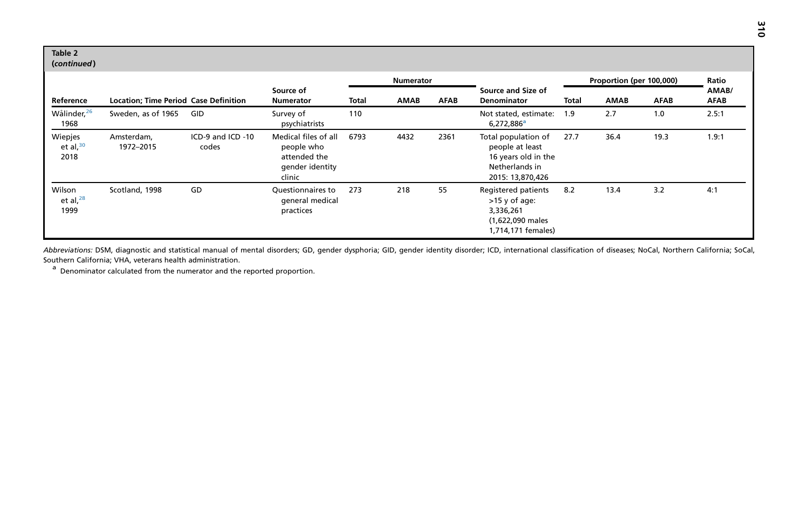## <span id="page-7-0"></span>Table 2

| (continued)                      |                                              |                            |                                                                                 |                  |             |             |                                                                                                     |                          |             |             |                      |
|----------------------------------|----------------------------------------------|----------------------------|---------------------------------------------------------------------------------|------------------|-------------|-------------|-----------------------------------------------------------------------------------------------------|--------------------------|-------------|-------------|----------------------|
|                                  |                                              |                            |                                                                                 | <b>Numerator</b> |             |             |                                                                                                     | Proportion (per 100,000) | Ratio       |             |                      |
| Reference                        | <b>Location; Time Period Case Definition</b> |                            | Source of<br><b>Numerator</b>                                                   | <b>Total</b>     | <b>AMAB</b> | <b>AFAB</b> | Source and Size of<br><b>Denominator</b>                                                            | <b>Total</b>             | <b>AMAB</b> | <b>AFAB</b> | AMAB/<br><b>AFAB</b> |
| Wålinder, 26<br>1968             | Sweden, as of 1965                           | GID                        | Survey of<br>psychiatrists                                                      | 110              |             |             | Not stated, estimate:<br>6,272,886 <sup>a</sup>                                                     | 1.9                      | 2.7         | 1.0         | 2.5:1                |
| Wiepjes<br>et al, $30$<br>2018   | Amsterdam,<br>1972-2015                      | ICD-9 and ICD -10<br>codes | Medical files of all<br>people who<br>attended the<br>gender identity<br>clinic | 6793             | 4432        | 2361        | Total population of<br>people at least<br>16 years old in the<br>Netherlands in<br>2015: 13,870,426 | 27.7                     | 36.4        | 19.3        | 1.9:1                |
| Wilson<br>et al, $^{28}$<br>1999 | Scotland, 1998                               | GD                         | Questionnaires to<br>general medical<br>practices                               | 273              | 218         | 55          | Registered patients<br>$>15$ y of age:<br>3,336,261<br>(1,622,090 males<br>1,714,171 females)       | 8.2                      | 13.4        | 3.2         | 4:1                  |

Abbreviations: DSM, diagnostic and statistical manual of mental disorders; GD, gender dysphoria; GID, gender identity disorder; ICD, international classification of diseases; NoCal, Northern California; SoCal, Southern California; VHA, veterans health administration.

<sup>a</sup> Denominator calculated from the numerator and the reported proportion.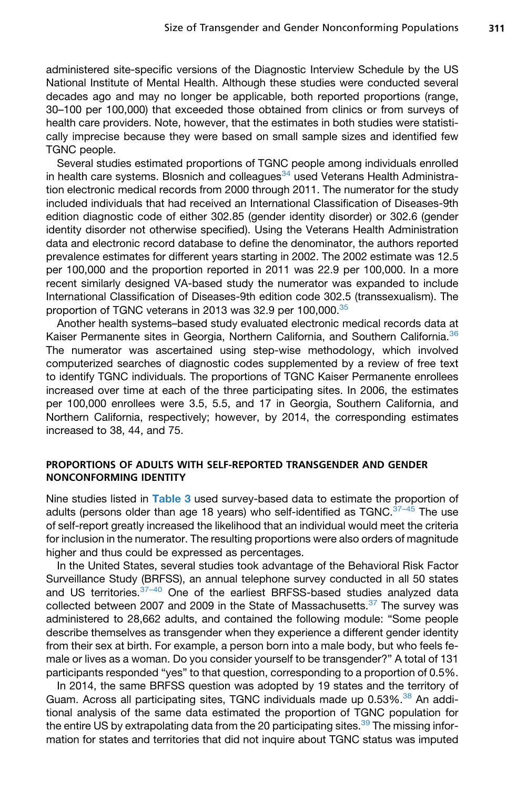administered site-specific versions of the Diagnostic Interview Schedule by the US National Institute of Mental Health. Although these studies were conducted several decades ago and may no longer be applicable, both reported proportions (range, 30–100 per 100,000) that exceeded those obtained from clinics or from surveys of health care providers. Note, however, that the estimates in both studies were statistically imprecise because they were based on small sample sizes and identified few TGNC people.

Several studies estimated proportions of TGNC people among individuals enrolled in health care systems. Blosnich and colleagues $34$  used Veterans Health Administration electronic medical records from 2000 through 2011. The numerator for the study included individuals that had received an International Classification of Diseases-9th edition diagnostic code of either 302.85 (gender identity disorder) or 302.6 (gender identity disorder not otherwise specified). Using the Veterans Health Administration data and electronic record database to define the denominator, the authors reported prevalence estimates for different years starting in 2002. The 2002 estimate was 12.5 per 100,000 and the proportion reported in 2011 was 22.9 per 100,000. In a more recent similarly designed VA-based study the numerator was expanded to include International Classification of Diseases-9th edition code 302.5 (transsexualism). The proportion of TGNC veterans in 2013 was 32.9 per 100,000.<sup>[35](#page-17-0)</sup>

Another health systems–based study evaluated electronic medical records data at Kaiser Permanente sites in Georgia, Northern California, and Southern California.<sup>[36](#page-17-0)</sup> The numerator was ascertained using step-wise methodology, which involved computerized searches of diagnostic codes supplemented by a review of free text to identify TGNC individuals. The proportions of TGNC Kaiser Permanente enrollees increased over time at each of the three participating sites. In 2006, the estimates per 100,000 enrollees were 3.5, 5.5, and 17 in Georgia, Southern California, and Northern California, respectively; however, by 2014, the corresponding estimates increased to 38, 44, and 75.

#### PROPORTIONS OF ADULTS WITH SELF-REPORTED TRANSGENDER AND GENDER NONCONFORMING IDENTITY

Nine studies listed in [Table 3](#page-9-0) used survey-based data to estimate the proportion of adults (persons older than age 18 years) who self-identified as TGNC. $37-45$  The use of self-report greatly increased the likelihood that an individual would meet the criteria for inclusion in the numerator. The resulting proportions were also orders of magnitude higher and thus could be expressed as percentages.

In the United States, several studies took advantage of the Behavioral Risk Factor Surveillance Study (BRFSS), an annual telephone survey conducted in all 50 states and US territories.<sup>37-40</sup> One of the earliest BRFSS-based studies analyzed data collected between 2007 and 2009 in the State of Massachusetts.<sup>[37](#page-17-0)</sup> The survey was administered to 28,662 adults, and contained the following module: "Some people describe themselves as transgender when they experience a different gender identity from their sex at birth. For example, a person born into a male body, but who feels female or lives as a woman. Do you consider yourself to be transgender?" A total of 131 participants responded "yes" to that question, corresponding to a proportion of 0.5%.

In 2014, the same BRFSS question was adopted by 19 states and the territory of Guam. Across all participating sites, TGNC individuals made up 0.53%.<sup>[38](#page-17-0)</sup> An additional analysis of the same data estimated the proportion of TGNC population for the entire US by extrapolating data from the 20 participating sites.<sup>[39](#page-17-0)</sup> The missing information for states and territories that did not inquire about TGNC status was imputed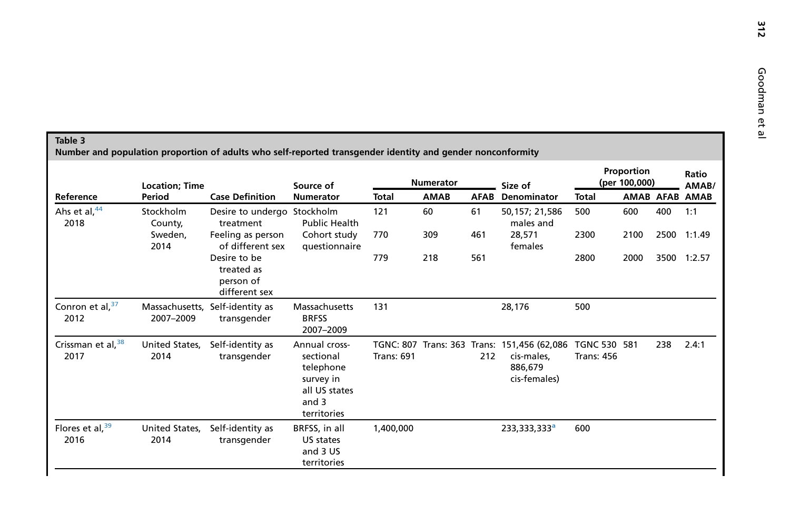#### <span id="page-9-0"></span>Table 3

Number and population proportion of adults who self-reported transgender identity and gender nonconformity

|                            | <b>Location</b> ; Time |                                                          | Source of                                                                                     |                   | <b>Numerator</b> |             | Size of                                                                              | Proportion<br>(per 100,000)       |      |      | Ratio<br>AMAB/ |
|----------------------------|------------------------|----------------------------------------------------------|-----------------------------------------------------------------------------------------------|-------------------|------------------|-------------|--------------------------------------------------------------------------------------|-----------------------------------|------|------|----------------|
| Reference                  | Period                 | <b>Case Definition</b>                                   | <b>Numerator</b>                                                                              | Total             | <b>AMAB</b>      | <b>AFAB</b> | Denominator                                                                          | <b>Total</b>                      |      |      | AMAB AFAB AMAB |
| Ahs et al, 44<br>2018      | Stockholm<br>County,   | Desire to undergo Stockholm<br>treatment                 | <b>Public Health</b>                                                                          | 121               | 60               | 61          | 50, 157; 21, 586<br>males and                                                        | 500                               | 600  | 400  | 1:1            |
|                            | Sweden,<br>2014        | Feeling as person<br>of different sex                    | Cohort study<br>questionnaire                                                                 | 770               | 309              | 461         | 28,571<br>females                                                                    | 2300                              | 2100 |      | 2500 1:1.49    |
|                            |                        | Desire to be<br>treated as<br>person of<br>different sex |                                                                                               | 779               | 218              | 561         |                                                                                      | 2800                              | 2000 | 3500 | 1:2.57         |
| Conron et al, $37$<br>2012 | 2007-2009              | Massachusetts, Self-identity as<br>transgender           | Massachusetts<br><b>BRFSS</b><br>2007-2009                                                    | 131               |                  |             | 28,176                                                                               | 500                               |      |      |                |
| Crissman et al, 38<br>2017 | United States,<br>2014 | Self-identity as<br>transgender                          | Annual cross-<br>sectional<br>telephone<br>survey in<br>all US states<br>and 3<br>territories | <b>Trans: 691</b> |                  | 212         | TGNC: 807 Trans: 363 Trans: 151,456 (62,086<br>cis-males,<br>886,679<br>cis-females) | TGNC 530 581<br><b>Trans: 456</b> |      | 238  | 2.4:1          |
| Flores et al, $39$<br>2016 | United States,<br>2014 | Self-identity as<br>transgender                          | BRFSS, in all<br>US states<br>and 3 US<br>territories                                         | 1,400,000         |                  |             | 233,333,333 <sup>a</sup>                                                             | 600                               |      |      |                |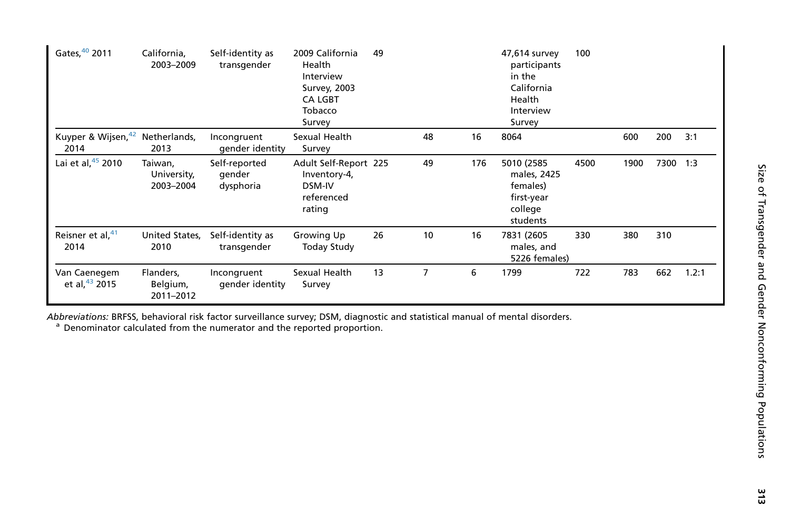<span id="page-10-0"></span>

| Gates, 40 2011                         | California,<br>2003-2009            | Self-identity as<br>transgender      | 2009 California<br>Health<br>Interview<br>Survey, 2003<br><b>CA LGBT</b><br>Tobacco<br>Survey | 49 |    |     | 47,614 survey<br>participants<br>in the<br>California<br>Health<br>Interview<br>Survey | 100  |      |          |       |
|----------------------------------------|-------------------------------------|--------------------------------------|-----------------------------------------------------------------------------------------------|----|----|-----|----------------------------------------------------------------------------------------|------|------|----------|-------|
| Kuyper & Wijsen, <sup>42</sup><br>2014 | Netherlands,<br>2013                | Incongruent<br>gender identity       | Sexual Health<br>Survey                                                                       |    | 48 | 16  | 8064                                                                                   |      | 600  | 200      | 3:1   |
| Lai et al. <sup>45</sup> 2010          | Taiwan,<br>University,<br>2003-2004 | Self-reported<br>gender<br>dysphoria | Adult Self-Report 225<br>Inventory-4,<br>DSM-IV<br>referenced<br>rating                       |    | 49 | 176 | 5010 (2585<br>males, 2425<br>females)<br>first-year<br>college<br>students             | 4500 | 1900 | 7300 1:3 |       |
| Reisner et al, $41$<br>2014            | United States,<br>2010              | Self-identity as<br>transgender      | Growing Up<br><b>Today Study</b>                                                              | 26 | 10 | 16  | 7831 (2605<br>males, and<br>5226 females)                                              | 330  | 380  | 310      |       |
| Van Caenegem<br>et al, $43$ 2015       | Flanders,<br>Belgium,<br>2011-2012  | Incongruent<br>gender identity       | Sexual Health<br>Survey                                                                       | 13 | 7  | 6   | 1799                                                                                   | 722  | 783  | 662      | 1.2:1 |

Abbreviations: BRFSS, behavioral risk factor surveillance survey; DSM, diagnostic and statistical manual of mental disorders.<br>a Denominator calculated from the numerator and the reported proportion.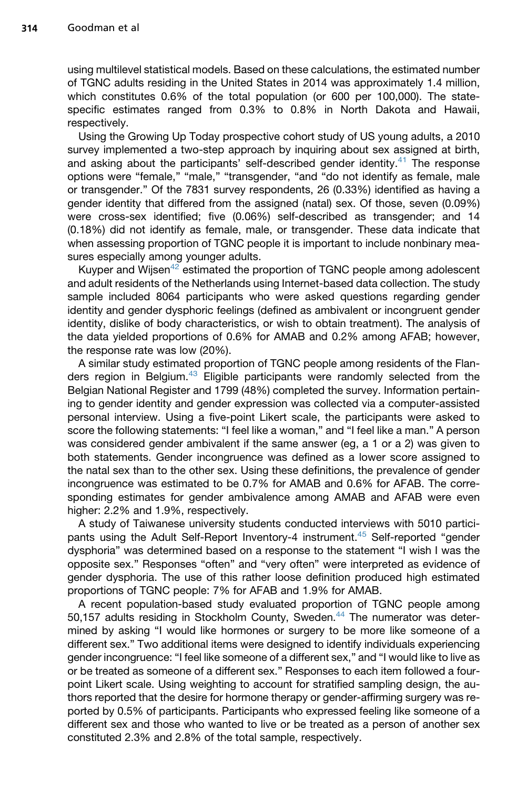using multilevel statistical models. Based on these calculations, the estimated number of TGNC adults residing in the United States in 2014 was approximately 1.4 million, which constitutes 0.6% of the total population (or 600 per 100,000). The statespecific estimates ranged from 0.3% to 0.8% in North Dakota and Hawaii, respectively.

Using the Growing Up Today prospective cohort study of US young adults, a 2010 survey implemented a two-step approach by inquiring about sex assigned at birth, and asking about the participants' self-described gender identity. $41$  The response options were "female," "male," "transgender, "and "do not identify as female, male or transgender." Of the 7831 survey respondents, 26 (0.33%) identified as having a gender identity that differed from the assigned (natal) sex. Of those, seven (0.09%) were cross-sex identified; five (0.06%) self-described as transgender; and 14 (0.18%) did not identify as female, male, or transgender. These data indicate that when assessing proportion of TGNC people it is important to include nonbinary measures especially among younger adults.

Kuyper and Wijsen<sup>[42](#page-17-0)</sup> estimated the proportion of TGNC people among adolescent and adult residents of the Netherlands using Internet-based data collection. The study sample included 8064 participants who were asked questions regarding gender identity and gender dysphoric feelings (defined as ambivalent or incongruent gender identity, dislike of body characteristics, or wish to obtain treatment). The analysis of the data yielded proportions of 0.6% for AMAB and 0.2% among AFAB; however, the response rate was low (20%).

A similar study estimated proportion of TGNC people among residents of the Flan-ders region in Belgium.<sup>[43](#page-18-0)</sup> Eligible participants were randomly selected from the Belgian National Register and 1799 (48%) completed the survey. Information pertaining to gender identity and gender expression was collected via a computer-assisted personal interview. Using a five-point Likert scale, the participants were asked to score the following statements: "I feel like a woman," and "I feel like a man." A person was considered gender ambivalent if the same answer (eg, a 1 or a 2) was given to both statements. Gender incongruence was defined as a lower score assigned to the natal sex than to the other sex. Using these definitions, the prevalence of gender incongruence was estimated to be 0.7% for AMAB and 0.6% for AFAB. The corresponding estimates for gender ambivalence among AMAB and AFAB were even higher: 2.2% and 1.9%, respectively.

A study of Taiwanese university students conducted interviews with 5010 partici-pants using the Adult Self-Report Inventory-4 instrument.<sup>[45](#page-18-0)</sup> Self-reported "gender dysphoria" was determined based on a response to the statement "I wish I was the opposite sex." Responses "often" and "very often" were interpreted as evidence of gender dysphoria. The use of this rather loose definition produced high estimated proportions of TGNC people: 7% for AFAB and 1.9% for AMAB.

A recent population-based study evaluated proportion of TGNC people among 50,157 adults residing in Stockholm County, Sweden.<sup>[44](#page-18-0)</sup> The numerator was determined by asking "I would like hormones or surgery to be more like someone of a different sex." Two additional items were designed to identify individuals experiencing gender incongruence: "I feel like someone of a different sex," and "I would like to live as or be treated as someone of a different sex." Responses to each item followed a fourpoint Likert scale. Using weighting to account for stratified sampling design, the authors reported that the desire for hormone therapy or gender-affirming surgery was reported by 0.5% of participants. Participants who expressed feeling like someone of a different sex and those who wanted to live or be treated as a person of another sex constituted 2.3% and 2.8% of the total sample, respectively.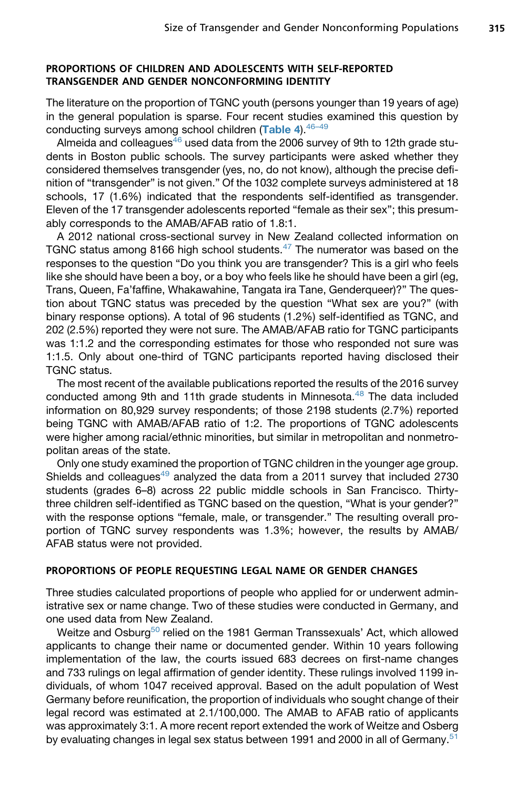#### PROPORTIONS OF CHILDREN AND ADOLESCENTS WITH SELF-REPORTED TRANSGENDER AND GENDER NONCONFORMING IDENTITY

The literature on the proportion of TGNC youth (persons younger than 19 years of age) in the general population is sparse. Four recent studies examined this question by conducting surveys among school children ([Table 4](#page-13-0)).  $46-49$ 

Almeida and colleagues<sup>[46](#page-18-0)</sup> used data from the 2006 survey of 9th to 12th grade students in Boston public schools. The survey participants were asked whether they considered themselves transgender (yes, no, do not know), although the precise definition of "transgender" is not given." Of the 1032 complete surveys administered at 18 schools, 17 (1.6%) indicated that the respondents self-identified as transgender. Eleven of the 17 transgender adolescents reported "female as their sex"; this presumably corresponds to the AMAB/AFAB ratio of 1.8:1.

A 2012 national cross-sectional survey in New Zealand collected information on TGNC status among 8166 high school students. $47$  The numerator was based on the responses to the question "Do you think you are transgender? This is a girl who feels like she should have been a boy, or a boy who feels like he should have been a girl (eg, Trans, Queen, Fa'faffine, Whakawahine, Tangata ira Tane, Genderqueer)?" The question about TGNC status was preceded by the question "What sex are you?" (with binary response options). A total of 96 students (1.2%) self-identified as TGNC, and 202 (2.5%) reported they were not sure. The AMAB/AFAB ratio for TGNC participants was 1:1.2 and the corresponding estimates for those who responded not sure was 1:1.5. Only about one-third of TGNC participants reported having disclosed their TGNC status.

The most recent of the available publications reported the results of the 2016 survey conducted among 9th and 11th grade students in Minnesota.[48](#page-18-0) The data included information on 80,929 survey respondents; of those 2198 students (2.7%) reported being TGNC with AMAB/AFAB ratio of 1:2. The proportions of TGNC adolescents were higher among racial/ethnic minorities, but similar in metropolitan and nonmetropolitan areas of the state.

Only one study examined the proportion of TGNC children in the younger age group. Shields and colleagues $49$  analyzed the data from a 2011 survey that included 2730 students (grades 6–8) across 22 public middle schools in San Francisco. Thirtythree children self-identified as TGNC based on the question, "What is your gender?" with the response options "female, male, or transgender." The resulting overall proportion of TGNC survey respondents was 1.3%; however, the results by AMAB/ AFAB status were not provided.

#### PROPORTIONS OF PEOPLE REQUESTING LEGAL NAME OR GENDER CHANGES

Three studies calculated proportions of people who applied for or underwent administrative sex or name change. Two of these studies were conducted in Germany, and one used data from New Zealand.

Weitze and Osburg<sup>[50](#page-18-0)</sup> relied on the 1981 German Transsexuals' Act, which allowed applicants to change their name or documented gender. Within 10 years following implementation of the law, the courts issued 683 decrees on first-name changes and 733 rulings on legal affirmation of gender identity. These rulings involved 1199 individuals, of whom 1047 received approval. Based on the adult population of West Germany before reunification, the proportion of individuals who sought change of their legal record was estimated at 2.1/100,000. The AMAB to AFAB ratio of applicants was approximately 3:1. A more recent report extended the work of Weitze and Osberg by evaluating changes in legal sex status between 1991 and 2000 in all of Germany.<sup>[51](#page-18-0)</sup>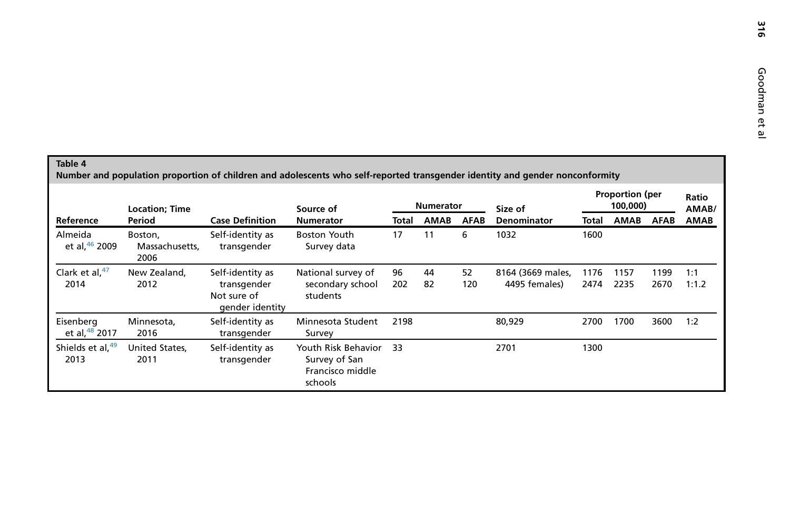31 E

<span id="page-13-0"></span>

| Table 4                                |                                   |                                                                   | Number and population proportion of children and adolescents who self-reported transgender identity and gender nonconformity |                  |             |             |                                    |                        |                |              |              |
|----------------------------------------|-----------------------------------|-------------------------------------------------------------------|------------------------------------------------------------------------------------------------------------------------------|------------------|-------------|-------------|------------------------------------|------------------------|----------------|--------------|--------------|
|                                        | <b>Location; Time</b>             |                                                                   | Source of                                                                                                                    | <b>Numerator</b> |             |             | Size of                            | <b>Proportion (per</b> | Ratio<br>AMAB/ |              |              |
| Reference                              | Period                            | <b>Case Definition</b>                                            | <b>Numerator</b>                                                                                                             | Total            | <b>AMAB</b> | <b>AFAB</b> | <b>Denominator</b>                 | Total                  | <b>AMAB</b>    | <b>AFAB</b>  | AMAB         |
| Almeida<br>et al, <sup>46</sup> 2009   | Boston,<br>Massachusetts.<br>2006 | Self-identity as<br>transgender                                   | <b>Boston Youth</b><br>Survey data                                                                                           | 17               | 11          | 6           | 1032                               | 1600                   |                |              |              |
| Clark et al, 47<br>2014                | New Zealand,<br>2012              | Self-identity as<br>transgender<br>Not sure of<br>gender identity | National survey of<br>secondary school<br>students                                                                           | 96<br>202        | 44<br>82    | 52<br>120   | 8164 (3669 males,<br>4495 females) | 1176<br>2474           | 1157<br>2235   | 1199<br>2670 | 1:1<br>1:1.2 |
| Eisenberg<br>et al, <sup>48</sup> 2017 | Minnesota,<br>2016                | Self-identity as<br>transgender                                   | Minnesota Student<br>Survey                                                                                                  | 2198             |             |             | 80,929                             | 2700                   | 1700           | 3600         | 1:2          |
| Shields et al, 49<br>2013              | United States.<br>2011            | Self-identity as<br>transgender                                   | Youth Risk Behavior<br>Survey of San<br>Francisco middle<br>schools                                                          | 33               |             |             | 2701                               | 1300                   |                |              |              |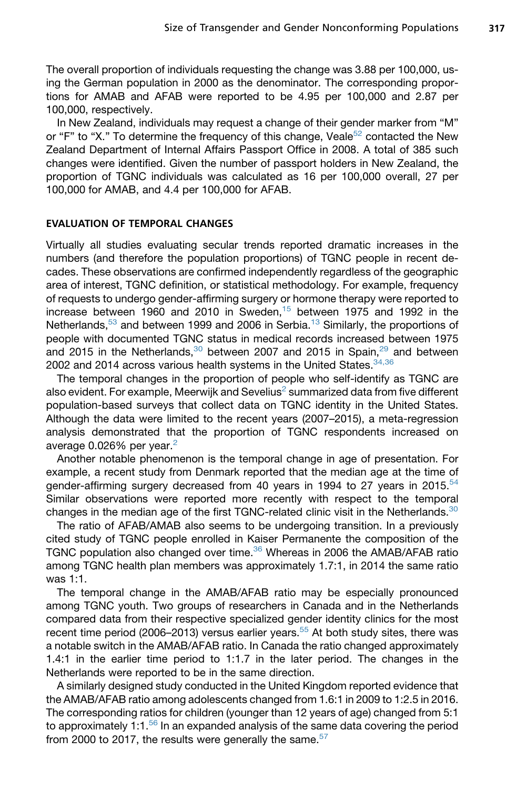The overall proportion of individuals requesting the change was 3.88 per 100,000, using the German population in 2000 as the denominator. The corresponding proportions for AMAB and AFAB were reported to be 4.95 per 100,000 and 2.87 per 100,000, respectively.

In New Zealand, individuals may request a change of their gender marker from "M" or "F" to "X." To determine the frequency of this change, Veale<sup>52</sup> contacted the New Zealand Department of Internal Affairs Passport Office in 2008. A total of 385 such changes were identified. Given the number of passport holders in New Zealand, the proportion of TGNC individuals was calculated as 16 per 100,000 overall, 27 per 100,000 for AMAB, and 4.4 per 100,000 for AFAB.

#### EVALUATION OF TEMPORAL CHANGES

Virtually all studies evaluating secular trends reported dramatic increases in the numbers (and therefore the population proportions) of TGNC people in recent decades. These observations are confirmed independently regardless of the geographic area of interest, TGNC definition, or statistical methodology. For example, frequency of requests to undergo gender-affirming surgery or hormone therapy were reported to increase between 1960 and 2010 in Sweden, $15$  between 1975 and 1992 in the Netherlands,<sup>[53](#page-18-0)</sup> and between 1999 and 2006 in Serbia.<sup>[13](#page-16-0)</sup> Similarly, the proportions of people with documented TGNC status in medical records increased between 1975 and 2015 in the Netherlands,  $30$  between 2007 and 2015 in Spain,  $29$  and between 2002 and 2014 across various health systems in the United States.  $34,36$ 

The temporal changes in the proportion of people who self-identify as TGNC are also evident. For example, Meerwijk and Sevelius<sup>[2](#page-15-0)</sup> summarized data from five different population-based surveys that collect data on TGNC identity in the United States. Although the data were limited to the recent years (2007–2015), a meta-regression analysis demonstrated that the proportion of TGNC respondents increased on average  $0.026\%$  $0.026\%$  $0.026\%$  per year.<sup>2</sup>

Another notable phenomenon is the temporal change in age of presentation. For example, a recent study from Denmark reported that the median age at the time of gender-affirming surgery decreased from 40 years in 1994 to 27 years in 2015.<sup>54</sup> Similar observations were reported more recently with respect to the temporal changes in the median age of the first TGNC-related clinic visit in the Netherlands. $30$ 

The ratio of AFAB/AMAB also seems to be undergoing transition. In a previously cited study of TGNC people enrolled in Kaiser Permanente the composition of the TGNC population also changed over time.<sup>[36](#page-17-0)</sup> Whereas in 2006 the AMAB/AFAB ratio among TGNC health plan members was approximately 1.7:1, in 2014 the same ratio was 1:1.

The temporal change in the AMAB/AFAB ratio may be especially pronounced among TGNC youth. Two groups of researchers in Canada and in the Netherlands compared data from their respective specialized gender identity clinics for the most recent time period (2006–2013) versus earlier years.<sup>55</sup> At both study sites, there was a notable switch in the AMAB/AFAB ratio. In Canada the ratio changed approximately 1.4:1 in the earlier time period to 1:1.7 in the later period. The changes in the Netherlands were reported to be in the same direction.

A similarly designed study conducted in the United Kingdom reported evidence that the AMAB/AFAB ratio among adolescents changed from 1.6:1 in 2009 to 1:2.5 in 2016. The corresponding ratios for children (younger than 12 years of age) changed from 5:1 to approximately 1:1.<sup>[56](#page-18-0)</sup> In an expanded analysis of the same data covering the period from 2000 to 2017, the results were generally the same. $57$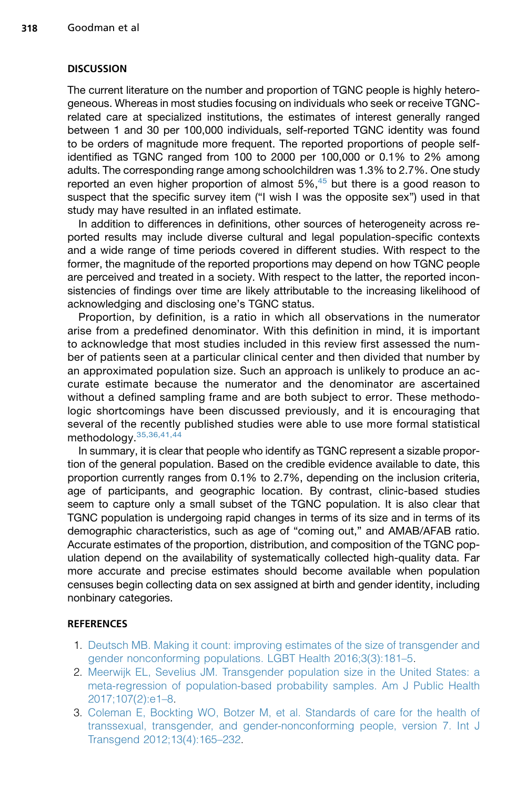#### <span id="page-15-0"></span>**DISCUSSION**

The current literature on the number and proportion of TGNC people is highly heterogeneous. Whereas in most studies focusing on individuals who seek or receive TGNCrelated care at specialized institutions, the estimates of interest generally ranged between 1 and 30 per 100,000 individuals, self-reported TGNC identity was found to be orders of magnitude more frequent. The reported proportions of people selfidentified as TGNC ranged from 100 to 2000 per 100,000 or 0.1% to 2% among adults. The corresponding range among schoolchildren was 1.3% to 2.7%. One study reported an even higher proportion of almost  $5\%$ ,  $45$  but there is a good reason to suspect that the specific survey item ("I wish I was the opposite sex") used in that study may have resulted in an inflated estimate.

In addition to differences in definitions, other sources of heterogeneity across reported results may include diverse cultural and legal population-specific contexts and a wide range of time periods covered in different studies. With respect to the former, the magnitude of the reported proportions may depend on how TGNC people are perceived and treated in a society. With respect to the latter, the reported inconsistencies of findings over time are likely attributable to the increasing likelihood of acknowledging and disclosing one's TGNC status.

Proportion, by definition, is a ratio in which all observations in the numerator arise from a predefined denominator. With this definition in mind, it is important to acknowledge that most studies included in this review first assessed the number of patients seen at a particular clinical center and then divided that number by an approximated population size. Such an approach is unlikely to produce an accurate estimate because the numerator and the denominator are ascertained without a defined sampling frame and are both subject to error. These methodologic shortcomings have been discussed previously, and it is encouraging that several of the recently published studies were able to use more formal statistical methodology.[35,36,41,44](#page-17-0)

In summary, it is clear that people who identify as TGNC represent a sizable proportion of the general population. Based on the credible evidence available to date, this proportion currently ranges from 0.1% to 2.7%, depending on the inclusion criteria, age of participants, and geographic location. By contrast, clinic-based studies seem to capture only a small subset of the TGNC population. It is also clear that TGNC population is undergoing rapid changes in terms of its size and in terms of its demographic characteristics, such as age of "coming out," and AMAB/AFAB ratio. Accurate estimates of the proportion, distribution, and composition of the TGNC population depend on the availability of systematically collected high-quality data. Far more accurate and precise estimates should become available when population censuses begin collecting data on sex assigned at birth and gender identity, including nonbinary categories.

### **REFERENCES**

- 1. [Deutsch MB. Making it count: improving estimates of the size of transgender and](http://refhub.elsevier.com/S0889-8529(19)30001-5/sref1) [gender nonconforming populations. LGBT Health 2016;3\(3\):181–5](http://refhub.elsevier.com/S0889-8529(19)30001-5/sref1).
- 2. [Meerwijk EL, Sevelius JM. Transgender population size in the United States: a](http://refhub.elsevier.com/S0889-8529(19)30001-5/sref2) [meta-regression of population-based probability samples. Am J Public Health](http://refhub.elsevier.com/S0889-8529(19)30001-5/sref2) [2017;107\(2\):e1–8](http://refhub.elsevier.com/S0889-8529(19)30001-5/sref2).
- 3. [Coleman E, Bockting WO, Botzer M, et al. Standards of care for the health of](http://refhub.elsevier.com/S0889-8529(19)30001-5/sref3) [transsexual, transgender, and gender-nonconforming people, version 7. Int J](http://refhub.elsevier.com/S0889-8529(19)30001-5/sref3) [Transgend 2012;13\(4\):165–232.](http://refhub.elsevier.com/S0889-8529(19)30001-5/sref3)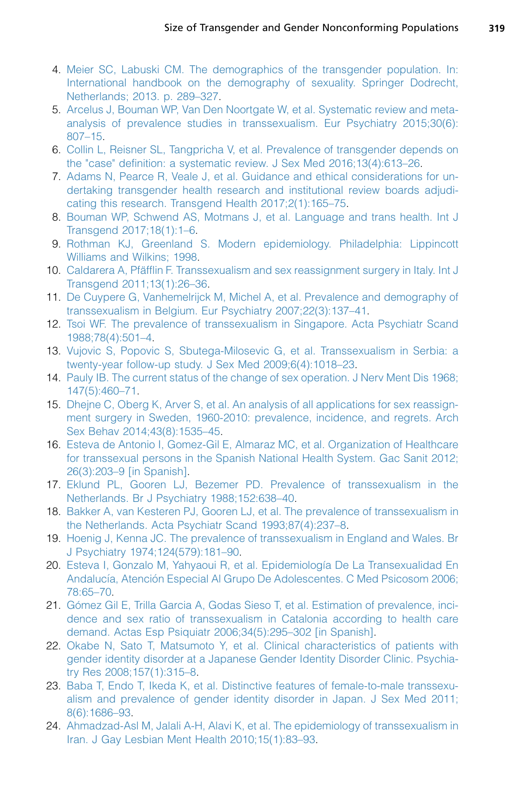- <span id="page-16-0"></span>4. [Meier SC, Labuski CM. The demographics of the transgender population. In:](http://refhub.elsevier.com/S0889-8529(19)30001-5/sref4) [International handbook on the demography of sexuality. Springer Dodrecht,](http://refhub.elsevier.com/S0889-8529(19)30001-5/sref4) [Netherlands; 2013. p. 289–327](http://refhub.elsevier.com/S0889-8529(19)30001-5/sref4).
- 5. [Arcelus J, Bouman WP, Van Den Noortgate W, et al. Systematic review and meta](http://refhub.elsevier.com/S0889-8529(19)30001-5/sref5)[analysis of prevalence studies in transsexualism. Eur Psychiatry 2015;30\(6\):](http://refhub.elsevier.com/S0889-8529(19)30001-5/sref5) [807–15](http://refhub.elsevier.com/S0889-8529(19)30001-5/sref5).
- 6. [Collin L, Reisner SL, Tangpricha V, et al. Prevalence of transgender depends on](http://refhub.elsevier.com/S0889-8529(19)30001-5/sref6) [the "case" definition: a systematic review. J Sex Med 2016;13\(4\):613–26.](http://refhub.elsevier.com/S0889-8529(19)30001-5/sref6)
- 7. [Adams N, Pearce R, Veale J, et al. Guidance and ethical considerations for un](http://refhub.elsevier.com/S0889-8529(19)30001-5/sref7)[dertaking transgender health research and institutional review boards adjudi](http://refhub.elsevier.com/S0889-8529(19)30001-5/sref7)[cating this research. Transgend Health 2017;2\(1\):165–75](http://refhub.elsevier.com/S0889-8529(19)30001-5/sref7).
- 8. [Bouman WP, Schwend AS, Motmans J, et al. Language and trans health. Int J](http://refhub.elsevier.com/S0889-8529(19)30001-5/sref8) [Transgend 2017;18\(1\):1–6](http://refhub.elsevier.com/S0889-8529(19)30001-5/sref8).
- 9. [Rothman KJ, Greenland S. Modern epidemiology. Philadelphia: Lippincott](http://refhub.elsevier.com/S0889-8529(19)30001-5/sref9) [Williams and Wilkins; 1998.](http://refhub.elsevier.com/S0889-8529(19)30001-5/sref9)
- 10. Caldarera A, Pfäfflin F. Transsexualism and sex reassignment surgery in Italy. Int J [Transgend 2011;13\(1\):26–36](http://refhub.elsevier.com/S0889-8529(19)30001-5/sref10).
- 11. [De Cuypere G, Vanhemelrijck M, Michel A, et al. Prevalence and demography of](http://refhub.elsevier.com/S0889-8529(19)30001-5/sref11) [transsexualism in Belgium. Eur Psychiatry 2007;22\(3\):137–41](http://refhub.elsevier.com/S0889-8529(19)30001-5/sref11).
- 12. [Tsoi WF. The prevalence of transsexualism in Singapore. Acta Psychiatr Scand](http://refhub.elsevier.com/S0889-8529(19)30001-5/sref12) [1988;78\(4\):501–4.](http://refhub.elsevier.com/S0889-8529(19)30001-5/sref12)
- 13. [Vujovic S, Popovic S, Sbutega-Milosevic G, et al. Transsexualism in Serbia: a](http://refhub.elsevier.com/S0889-8529(19)30001-5/sref13) [twenty-year follow-up study. J Sex Med 2009;6\(4\):1018–23](http://refhub.elsevier.com/S0889-8529(19)30001-5/sref13).
- 14. [Pauly IB. The current status of the change of sex operation. J Nerv Ment Dis 1968;](http://refhub.elsevier.com/S0889-8529(19)30001-5/sref14) [147\(5\):460–71](http://refhub.elsevier.com/S0889-8529(19)30001-5/sref14).
- 15. [Dhejne C, Oberg K, Arver S, et al. An analysis of all applications for sex reassign](http://refhub.elsevier.com/S0889-8529(19)30001-5/sref15)[ment surgery in Sweden, 1960-2010: prevalence, incidence, and regrets. Arch](http://refhub.elsevier.com/S0889-8529(19)30001-5/sref15) [Sex Behav 2014;43\(8\):1535–45.](http://refhub.elsevier.com/S0889-8529(19)30001-5/sref15)
- 16. [Esteva de Antonio I, Gomez-Gil E, Almaraz MC, et al. Organization of Healthcare](http://refhub.elsevier.com/S0889-8529(19)30001-5/sref16) [for transsexual persons in the Spanish National Health System. Gac Sanit 2012;](http://refhub.elsevier.com/S0889-8529(19)30001-5/sref16) [26\(3\):203–9 \[in Spanish\].](http://refhub.elsevier.com/S0889-8529(19)30001-5/sref16)
- 17. [Eklund PL, Gooren LJ, Bezemer PD. Prevalence of transsexualism in the](http://refhub.elsevier.com/S0889-8529(19)30001-5/sref17) [Netherlands. Br J Psychiatry 1988;152:638–40.](http://refhub.elsevier.com/S0889-8529(19)30001-5/sref17)
- 18. [Bakker A, van Kesteren PJ, Gooren LJ, et al. The prevalence of transsexualism in](http://refhub.elsevier.com/S0889-8529(19)30001-5/sref18) [the Netherlands. Acta Psychiatr Scand 1993;87\(4\):237–8](http://refhub.elsevier.com/S0889-8529(19)30001-5/sref18).
- 19. [Hoenig J, Kenna JC. The prevalence of transsexualism in England and Wales. Br](http://refhub.elsevier.com/S0889-8529(19)30001-5/sref19) [J Psychiatry 1974;124\(579\):181–90](http://refhub.elsevier.com/S0889-8529(19)30001-5/sref19).
- 20. Esteva I, Gonzalo M, Yahyaoui R, et al. Epidemiología De La Transexualidad En Andalucía, Atención Especial Al Grupo De Adolescentes. C Med Psicosom 2006; [78:65–70](http://refhub.elsevier.com/S0889-8529(19)30001-5/sref20).
- 21. Gómez Gil E, Trilla Garcia A, Godas Sieso T, et al. Estimation of prevalence, inci[dence and sex ratio of transsexualism in Catalonia according to health care](http://refhub.elsevier.com/S0889-8529(19)30001-5/sref21) [demand. Actas Esp Psiquiatr 2006;34\(5\):295–302 \[in Spanish\].](http://refhub.elsevier.com/S0889-8529(19)30001-5/sref21)
- 22. [Okabe N, Sato T, Matsumoto Y, et al. Clinical characteristics of patients with](http://refhub.elsevier.com/S0889-8529(19)30001-5/sref22) [gender identity disorder at a Japanese Gender Identity Disorder Clinic. Psychia](http://refhub.elsevier.com/S0889-8529(19)30001-5/sref22)[try Res 2008;157\(1\):315–8](http://refhub.elsevier.com/S0889-8529(19)30001-5/sref22).
- 23. [Baba T, Endo T, Ikeda K, et al. Distinctive features of female-to-male transsexu](http://refhub.elsevier.com/S0889-8529(19)30001-5/sref23)[alism and prevalence of gender identity disorder in Japan. J Sex Med 2011;](http://refhub.elsevier.com/S0889-8529(19)30001-5/sref23) [8\(6\):1686–93](http://refhub.elsevier.com/S0889-8529(19)30001-5/sref23).
- 24. [Ahmadzad-Asl M, Jalali A-H, Alavi K, et al. The epidemiology of transsexualism in](http://refhub.elsevier.com/S0889-8529(19)30001-5/sref24) [Iran. J Gay Lesbian Ment Health 2010;15\(1\):83–93.](http://refhub.elsevier.com/S0889-8529(19)30001-5/sref24)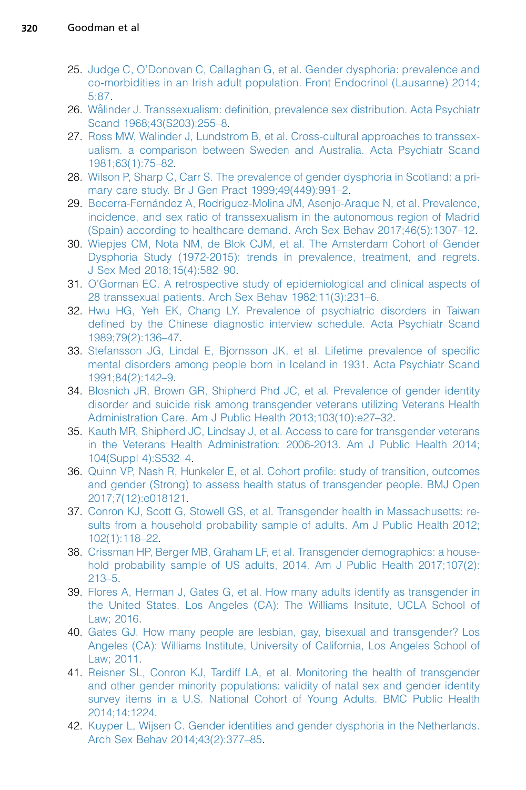- <span id="page-17-0"></span>25. [Judge C, O'Donovan C, Callaghan G, et al. Gender dysphoria: prevalence and](http://refhub.elsevier.com/S0889-8529(19)30001-5/sref25) [co-morbidities in an Irish adult population. Front Endocrinol \(Lausanne\) 2014;](http://refhub.elsevier.com/S0889-8529(19)30001-5/sref25) [5:87](http://refhub.elsevier.com/S0889-8529(19)30001-5/sref25).
- 26. Wålinder J. Transsexualism: definition, prevalence sex distribution. Acta Psychiatr [Scand 1968;43\(S203\):255–8.](http://refhub.elsevier.com/S0889-8529(19)30001-5/sref26)
- 27. [Ross MW, Walinder J, Lundstrom B, et al. Cross-cultural approaches to transsex](http://refhub.elsevier.com/S0889-8529(19)30001-5/sref27)[ualism. a comparison between Sweden and Australia. Acta Psychiatr Scand](http://refhub.elsevier.com/S0889-8529(19)30001-5/sref27) [1981;63\(1\):75–82](http://refhub.elsevier.com/S0889-8529(19)30001-5/sref27).
- 28. [Wilson P, Sharp C, Carr S. The prevalence of gender dysphoria in Scotland: a pri](http://refhub.elsevier.com/S0889-8529(19)30001-5/sref28)[mary care study. Br J Gen Pract 1999;49\(449\):991–2.](http://refhub.elsevier.com/S0889-8529(19)30001-5/sref28)
- 29. Becerra-Fernández A, Rodriguez-Molina JM, Asenjo-Araque N, et al. Prevalence, [incidence, and sex ratio of transsexualism in the autonomous region of Madrid](http://refhub.elsevier.com/S0889-8529(19)30001-5/sref29) [\(Spain\) according to healthcare demand. Arch Sex Behav 2017;46\(5\):1307–12.](http://refhub.elsevier.com/S0889-8529(19)30001-5/sref29)
- 30. [Wiepjes CM, Nota NM, de Blok CJM, et al. The Amsterdam Cohort of Gender](http://refhub.elsevier.com/S0889-8529(19)30001-5/sref30) [Dysphoria Study \(1972-2015\): trends in prevalence, treatment, and regrets.](http://refhub.elsevier.com/S0889-8529(19)30001-5/sref30) [J Sex Med 2018;15\(4\):582–90.](http://refhub.elsevier.com/S0889-8529(19)30001-5/sref30)
- 31. [O'Gorman EC. A retrospective study of epidemiological and clinical aspects of](http://refhub.elsevier.com/S0889-8529(19)30001-5/sref31) [28 transsexual patients. Arch Sex Behav 1982;11\(3\):231–6](http://refhub.elsevier.com/S0889-8529(19)30001-5/sref31).
- 32. [Hwu HG, Yeh EK, Chang LY. Prevalence of psychiatric disorders in Taiwan](http://refhub.elsevier.com/S0889-8529(19)30001-5/sref32) [defined by the Chinese diagnostic interview schedule. Acta Psychiatr Scand](http://refhub.elsevier.com/S0889-8529(19)30001-5/sref32) [1989;79\(2\):136–47](http://refhub.elsevier.com/S0889-8529(19)30001-5/sref32).
- 33. [Stefansson JG, Lindal E, Bjornsson JK, et al. Lifetime prevalence of specific](http://refhub.elsevier.com/S0889-8529(19)30001-5/sref33) [mental disorders among people born in Iceland in 1931. Acta Psychiatr Scand](http://refhub.elsevier.com/S0889-8529(19)30001-5/sref33) [1991;84\(2\):142–9](http://refhub.elsevier.com/S0889-8529(19)30001-5/sref33).
- 34. [Blosnich JR, Brown GR, Shipherd Phd JC, et al. Prevalence of gender identity](http://refhub.elsevier.com/S0889-8529(19)30001-5/sref34) [disorder and suicide risk among transgender veterans utilizing Veterans Health](http://refhub.elsevier.com/S0889-8529(19)30001-5/sref34) [Administration Care. Am J Public Health 2013;103\(10\):e27–32.](http://refhub.elsevier.com/S0889-8529(19)30001-5/sref34)
- 35. [Kauth MR, Shipherd JC, Lindsay J, et al. Access to care for transgender veterans](http://refhub.elsevier.com/S0889-8529(19)30001-5/sref35) [in the Veterans Health Administration: 2006-2013. Am J Public Health 2014;](http://refhub.elsevier.com/S0889-8529(19)30001-5/sref35) [104\(Suppl 4\):S532–4.](http://refhub.elsevier.com/S0889-8529(19)30001-5/sref35)
- 36. [Quinn VP, Nash R, Hunkeler E, et al. Cohort profile: study of transition, outcomes](http://refhub.elsevier.com/S0889-8529(19)30001-5/sref36) [and gender \(Strong\) to assess health status of transgender people. BMJ Open](http://refhub.elsevier.com/S0889-8529(19)30001-5/sref36) [2017;7\(12\):e018121.](http://refhub.elsevier.com/S0889-8529(19)30001-5/sref36)
- 37. [Conron KJ, Scott G, Stowell GS, et al. Transgender health in Massachusetts: re](http://refhub.elsevier.com/S0889-8529(19)30001-5/sref37)[sults from a household probability sample of adults. Am J Public Health 2012;](http://refhub.elsevier.com/S0889-8529(19)30001-5/sref37) [102\(1\):118–22.](http://refhub.elsevier.com/S0889-8529(19)30001-5/sref37)
- 38. [Crissman HP, Berger MB, Graham LF, et al. Transgender demographics: a house](http://refhub.elsevier.com/S0889-8529(19)30001-5/sref38)[hold probability sample of US adults, 2014. Am J Public Health 2017;107\(2\):](http://refhub.elsevier.com/S0889-8529(19)30001-5/sref38) [213–5.](http://refhub.elsevier.com/S0889-8529(19)30001-5/sref38)
- 39. [Flores A, Herman J, Gates G, et al. How many adults identify as transgender in](http://refhub.elsevier.com/S0889-8529(19)30001-5/sref39) [the United States. Los Angeles \(CA\): The Williams Insitute, UCLA School of](http://refhub.elsevier.com/S0889-8529(19)30001-5/sref39) [Law; 2016](http://refhub.elsevier.com/S0889-8529(19)30001-5/sref39).
- 40. [Gates GJ. How many people are lesbian, gay, bisexual and transgender? Los](http://refhub.elsevier.com/S0889-8529(19)30001-5/sref40) [Angeles \(CA\): Williams Institute, University of California, Los Angeles School of](http://refhub.elsevier.com/S0889-8529(19)30001-5/sref40) [Law; 2011](http://refhub.elsevier.com/S0889-8529(19)30001-5/sref40).
- 41. [Reisner SL, Conron KJ, Tardiff LA, et al. Monitoring the health of transgender](http://refhub.elsevier.com/S0889-8529(19)30001-5/sref41) [and other gender minority populations: validity of natal sex and gender identity](http://refhub.elsevier.com/S0889-8529(19)30001-5/sref41) [survey items in a U.S. National Cohort of Young Adults. BMC Public Health](http://refhub.elsevier.com/S0889-8529(19)30001-5/sref41) [2014;14:1224.](http://refhub.elsevier.com/S0889-8529(19)30001-5/sref41)
- 42. [Kuyper L, Wijsen C. Gender identities and gender dysphoria in the Netherlands.](http://refhub.elsevier.com/S0889-8529(19)30001-5/sref42) [Arch Sex Behav 2014;43\(2\):377–85](http://refhub.elsevier.com/S0889-8529(19)30001-5/sref42).